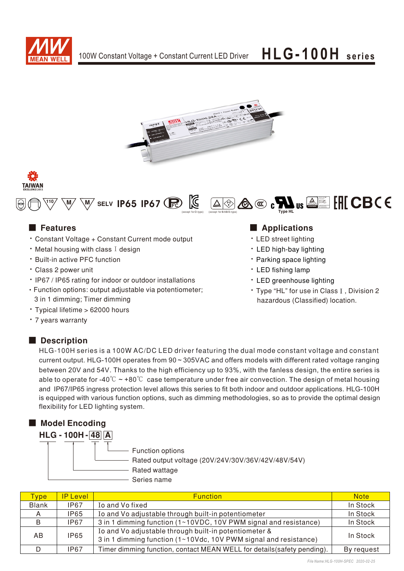







- Constant Voltage + Constant Current mode output
- $\cdot$  Metal housing with class I design
- **Built-in active PFC function**
- Class 2 power unit
- IP67 / IP65 rating for indoor or outdoor installations
- Function options: output adjustable via potentiometer; 3 in 1 dimming; Timer dimming
- Typical lifetime > 62000 hours
- 7 years warranty

## Description

### ■ Features ■ Particular and Particular and Particular and Particular and Particular and Particular and Particular and Particular and Particular and Particular and Particular and Particular and Particular and Particular an

- LED street lighting
- LED high-bay lighting
- Parking space lighting
- LED fishing lamp
- LED greenhouse lighting
- Type "HL" for use in Class I, Division 2 hazardous (Classified) location.

HLG-100H series is a 100W AC/DC LED driver featuring the dual mode constant voltage and constant current output. HLG-100H operates from 90~305VAC and offers models with different rated voltage ranging between 20V and 54V. Thanks to the high efficiency up to 93%, with the fanless design, the entire series is able to operate for -40°C  $\sim$  +80°C case temperature under free air convection. The design of metal housing and IP67/IP65 ingress protection level allows this series to fit both indoor and outdoor applications. HLG-100H is equipped with various function options, such as dimming methodologies, so as to provide the optimal design flexibility for LED lighting system.



| <b>Type</b>  | <b>IP Level</b> | <b>Function</b>                                                                                                           | <b>Note</b> |
|--------------|-----------------|---------------------------------------------------------------------------------------------------------------------------|-------------|
| <b>Blank</b> | <b>IP67</b>     | Io and Vo fixed                                                                                                           | In Stock    |
|              | <b>IP65</b>     | Io and Vo adjustable through built-in potentiometer                                                                       | In Stock    |
| B            | IP67            | 3 in 1 dimming function (1~10VDC, 10V PWM signal and resistance)                                                          | In Stock    |
| AB.          | <b>IP65</b>     | Io and Vo adjustable through built-in potentiometer &<br>3 in 1 dimming function (1~10Vdc, 10V PWM signal and resistance) | In Stock    |
|              | IP67            | Timer dimming function, contact MEAN WELL for details (safety pending).                                                   | By request  |

*File Name:HLG-100H-SPEC 2020-02-25*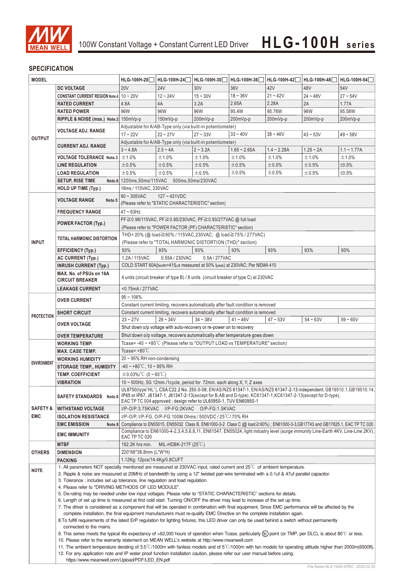

### **SPECIFICATION**

| <b>MODEL</b>        |                                                                                                                                                                                                                                                                                        | HLG-100H-20                                                                                                                                                                                            | HLG-100H-24                                                                        | HLG-100H-30   | HLG-100H-36    | HLG-100H-42   | HLG-100H-48 | HLG-100H-54   |  |
|---------------------|----------------------------------------------------------------------------------------------------------------------------------------------------------------------------------------------------------------------------------------------------------------------------------------|--------------------------------------------------------------------------------------------------------------------------------------------------------------------------------------------------------|------------------------------------------------------------------------------------|---------------|----------------|---------------|-------------|---------------|--|
|                     | <b>DC VOLTAGE</b>                                                                                                                                                                                                                                                                      | <b>20V</b>                                                                                                                                                                                             | <b>24V</b>                                                                         | 30V           | 36V            | 42V           | 48V         | 54V           |  |
|                     | CONSTANT CURRENT REGION Note.4   10 ~ 20V                                                                                                                                                                                                                                              |                                                                                                                                                                                                        | $12 - 24V$                                                                         | $15 - 30V$    | $18 - 36V$     | $21 - 42V$    | $24 - 48V$  | $27 - 54V$    |  |
|                     | <b>RATED CURRENT</b>                                                                                                                                                                                                                                                                   | 4.8A                                                                                                                                                                                                   | 4A                                                                                 | 3.2A          | 2.65A          | 2.28A         | 2A          | 1.77A         |  |
|                     | <b>RATED POWER</b>                                                                                                                                                                                                                                                                     | 96W                                                                                                                                                                                                    | 96W                                                                                | 96W           | 95.4W          | 95.76W        | 96W         | 95.58W        |  |
|                     | RIPPLE & NOISE (max.) Note.2 150mVp-p                                                                                                                                                                                                                                                  |                                                                                                                                                                                                        |                                                                                    |               |                |               |             |               |  |
|                     |                                                                                                                                                                                                                                                                                        | 150mVp-p<br>200mVp-p<br>200mVp-p<br>200mVp-p<br>200mVp-p<br>200mVp-p<br>Adjustable for A/AB-Type only (via built-in potentiometer)                                                                     |                                                                                    |               |                |               |             |               |  |
|                     | VOLTAGE ADJ. RANGE                                                                                                                                                                                                                                                                     | $17 - 22V$                                                                                                                                                                                             | $22 - 27V$                                                                         | $27 - 33V$    | $33 - 40V$     |               |             |               |  |
| <b>OUTPUT</b>       |                                                                                                                                                                                                                                                                                        |                                                                                                                                                                                                        |                                                                                    |               |                | $38 - 46V$    | $43 - 53V$  | $49 - 58V$    |  |
|                     | <b>CURRENT ADJ. RANGE</b>                                                                                                                                                                                                                                                              |                                                                                                                                                                                                        | Adjustable for A/AB-Type only (via built-in potentiometer)                         |               |                |               |             |               |  |
|                     |                                                                                                                                                                                                                                                                                        | $3 - 4.8A$                                                                                                                                                                                             | $2.5 - 4A$                                                                         | $2 - 3.2A$    | $1.65 - 2.65A$ | $1.4 - 2.28A$ | $1.25 - 2A$ | $1.1 - 1.77A$ |  |
|                     | <b>VOLTAGE TOLERANCE Note.3</b>                                                                                                                                                                                                                                                        | ±1.0%                                                                                                                                                                                                  | ±1.0%                                                                              | ±1.0%         | ±1.0%          | ±1.0%         | ±1.0%       | ±1.0%         |  |
|                     | <b>LINE REGULATION</b>                                                                                                                                                                                                                                                                 | ±0.5%                                                                                                                                                                                                  | ±0.5%                                                                              | ±0.5%         | ±0.5%          | ±0.5%         | ±0.5%       | ±0.5%         |  |
|                     | <b>LOAD REGULATION</b>                                                                                                                                                                                                                                                                 | ±0.5%                                                                                                                                                                                                  | ±0.5%                                                                              | ±0.5%         | ±0.5%          | $\pm 0.5\%$   | ±0.5%       | ±0.5%         |  |
|                     | <b>SETUP, RISE TIME</b>                                                                                                                                                                                                                                                                | Note.6 1200ms, 50ms/115VAC 500ms, 50ms/230VAC                                                                                                                                                          |                                                                                    |               |                |               |             |               |  |
|                     | HOLD UP TIME (Typ.)                                                                                                                                                                                                                                                                    | 16ms / 115VAC, 230VAC                                                                                                                                                                                  |                                                                                    |               |                |               |             |               |  |
|                     |                                                                                                                                                                                                                                                                                        | $127 - 431VDC$<br>$90 \sim 305$ VAC                                                                                                                                                                    |                                                                                    |               |                |               |             |               |  |
|                     | <b>VOLTAGE RANGE</b><br>Note.5                                                                                                                                                                                                                                                         | (Please refer to "STATIC CHARACTERISTIC" section)                                                                                                                                                      |                                                                                    |               |                |               |             |               |  |
|                     | <b>FREQUENCY RANGE</b>                                                                                                                                                                                                                                                                 | $47 \sim 63$ Hz                                                                                                                                                                                        |                                                                                    |               |                |               |             |               |  |
|                     |                                                                                                                                                                                                                                                                                        | PF≧0.98/115VAC, PF≧0.95/230VAC, PF≧0.93/277VAC @ full load                                                                                                                                             |                                                                                    |               |                |               |             |               |  |
|                     | <b>POWER FACTOR (Typ.)</b>                                                                                                                                                                                                                                                             | (Please refer to "POWER FACTOR (PF) CHARACTERISTIC" section)                                                                                                                                           |                                                                                    |               |                |               |             |               |  |
|                     |                                                                                                                                                                                                                                                                                        | THD<20% (@load≧60%/115VAC,230VAC; @load≧75%/277VAC)                                                                                                                                                    |                                                                                    |               |                |               |             |               |  |
| <b>INPUT</b>        | <b>TOTAL HARMONIC DISTORTION</b>                                                                                                                                                                                                                                                       |                                                                                                                                                                                                        | (Please refer to "TOTAL HARMONIC DISTORTION (THD)" section)                        |               |                |               |             |               |  |
|                     |                                                                                                                                                                                                                                                                                        | 93%                                                                                                                                                                                                    | 93%                                                                                | 93%           |                | 93%           | 93%         | 93%           |  |
|                     | <b>EFFICIENCY (Typ.)</b>                                                                                                                                                                                                                                                               |                                                                                                                                                                                                        |                                                                                    |               | 93%            |               |             |               |  |
|                     | <b>AC CURRENT (Typ.)</b>                                                                                                                                                                                                                                                               | 1.2A / 115VAC                                                                                                                                                                                          | 0.55A / 230VAC                                                                     | 0.5A / 277VAC |                |               |             |               |  |
|                     | <b>INRUSH CURRENT (Typ.)</b>                                                                                                                                                                                                                                                           | COLD START 60A(twidth=415µs measured at 50% Ipeak) at 230VAC; Per NEMA 410                                                                                                                             |                                                                                    |               |                |               |             |               |  |
|                     | MAX. No. of PSUs on 16A                                                                                                                                                                                                                                                                | 4 units (circuit breaker of type B) / 8 units (circuit breaker of type C) at 230VAC                                                                                                                    |                                                                                    |               |                |               |             |               |  |
|                     | <b>CIRCUIT BREAKER</b>                                                                                                                                                                                                                                                                 |                                                                                                                                                                                                        |                                                                                    |               |                |               |             |               |  |
|                     | <b>LEAKAGE CURRENT</b>                                                                                                                                                                                                                                                                 | <0.75mA/277VAC                                                                                                                                                                                         |                                                                                    |               |                |               |             |               |  |
|                     | <b>OVER CURRENT</b>                                                                                                                                                                                                                                                                    | $95 - 106\%$                                                                                                                                                                                           |                                                                                    |               |                |               |             |               |  |
|                     |                                                                                                                                                                                                                                                                                        | Constant current limiting, recovers automatically after fault condition is removed                                                                                                                     |                                                                                    |               |                |               |             |               |  |
|                     | <b>SHORT CIRCUIT</b>                                                                                                                                                                                                                                                                   |                                                                                                                                                                                                        | Constant current limiting, recovers automatically after fault condition is removed |               |                |               |             |               |  |
| <b>PROTECTION</b>   |                                                                                                                                                                                                                                                                                        | $23 - 27V$                                                                                                                                                                                             | $28 - 34V$                                                                         | $34 - 38V$    | $41 - 46V$     | $47 - 53V$    | $54 - 63V$  | $59 - 65V$    |  |
|                     | <b>OVER VOLTAGE</b>                                                                                                                                                                                                                                                                    |                                                                                                                                                                                                        | Shut down o/p voltage with auto-recovery or re-power on to recovery                |               |                |               |             |               |  |
|                     | <b>OVER TEMPERATURE</b>                                                                                                                                                                                                                                                                | Shut down o/p voltage, recovers automatically after temperature goes down                                                                                                                              |                                                                                    |               |                |               |             |               |  |
|                     | <b>WORKING TEMP.</b>                                                                                                                                                                                                                                                                   | Tcase=-40~+80°C (Please refer to "OUTPUT LOAD vs TEMPERATURE" section)                                                                                                                                 |                                                                                    |               |                |               |             |               |  |
|                     | <b>MAX. CASE TEMP.</b>                                                                                                                                                                                                                                                                 | Tcase= $+80^{\circ}$ C                                                                                                                                                                                 |                                                                                    |               |                |               |             |               |  |
|                     | <b>WORKING HUMIDITY</b>                                                                                                                                                                                                                                                                | 20 ~ 95% RH non-condensing                                                                                                                                                                             |                                                                                    |               |                |               |             |               |  |
| <b>ENVIRONMENT</b>  | <b>STORAGE TEMP., HUMIDITY</b>                                                                                                                                                                                                                                                         | $-40 \sim +80^{\circ}$ C, 10 ~ 95% RH                                                                                                                                                                  |                                                                                    |               |                |               |             |               |  |
|                     | <b>TEMP. COEFFICIENT</b>                                                                                                                                                                                                                                                               |                                                                                                                                                                                                        |                                                                                    |               |                |               |             |               |  |
|                     | <b>VIBRATION</b>                                                                                                                                                                                                                                                                       | $\pm$ 0.03%/°C (0 ~ 60°C)                                                                                                                                                                              |                                                                                    |               |                |               |             |               |  |
|                     |                                                                                                                                                                                                                                                                                        | 10 $\sim$ 500Hz, 5G 12min./1 cycle, period for 72min. each along X, Y, Z axes<br>UL8750(type"HL"), CSA C22.2 No. 250.0-08; EN/AS/NZS 61347-1, EN/AS/NZS 61347-2-13 independent; GB19510.1, GB19510.14, |                                                                                    |               |                |               |             |               |  |
|                     | <b>SAFETY STANDARDS</b><br>Note.8                                                                                                                                                                                                                                                      | IP65 or IP67, J61347-1, J61347-2-13(except for B,AB and D-type), KC61347-1,KC61347-2-13(except for D-type),                                                                                            |                                                                                    |               |                |               |             |               |  |
|                     |                                                                                                                                                                                                                                                                                        | EAC TP TC 004 approved; design refer to UL60950-1, TUV EN60950-1                                                                                                                                       |                                                                                    |               |                |               |             |               |  |
| <b>SAFETY &amp;</b> | <b>WITHSTAND VOLTAGE</b>                                                                                                                                                                                                                                                               | I/P-O/P:3.75KVAC I/P-FG:2KVAC O/P-FG:1.5KVAC                                                                                                                                                           |                                                                                    |               |                |               |             |               |  |
| <b>EMC</b>          | <b>ISOLATION RESISTANCE</b>                                                                                                                                                                                                                                                            | I/P-O/P, I/P-FG, O/P-FG:100M Ohms / 500VDC / 25 °C / 70% RH                                                                                                                                            |                                                                                    |               |                |               |             |               |  |
|                     | <b>EMC EMISSION</b><br>Note.8                                                                                                                                                                                                                                                          | Compliance to EN55015, EN55032 Class B, EN61000-3-2 Class C (@ load≧60%); EN61000-3-3, GB17743 and GB17625.1, EAC TP TC 020                                                                            |                                                                                    |               |                |               |             |               |  |
|                     | <b>EMC IMMUNITY</b>                                                                                                                                                                                                                                                                    | Compliance to EN61000-4-2,3,4,5,6,8,11, EN61547, EN55024, light industry level (surge immunity Line-Earth 4KV, Line-Line 2KV),                                                                         |                                                                                    |               |                |               |             |               |  |
|                     |                                                                                                                                                                                                                                                                                        | EAC TP TC 020                                                                                                                                                                                          |                                                                                    |               |                |               |             |               |  |
|                     | <b>MTBF</b>                                                                                                                                                                                                                                                                            | 192.2K hrs min.                                                                                                                                                                                        | MIL-HDBK-217F $(25^{\circ}C)$                                                      |               |                |               |             |               |  |
| <b>OTHERS</b>       | <b>DIMENSION</b>                                                                                                                                                                                                                                                                       | 220*68*38.8mm (L*W*H)                                                                                                                                                                                  |                                                                                    |               |                |               |             |               |  |
|                     | <b>PACKING</b>                                                                                                                                                                                                                                                                         | 1.12Kg; 12pcs/14.4Kg/0.8CUFT                                                                                                                                                                           |                                                                                    |               |                |               |             |               |  |
| <b>NOTE</b>         | 1. All parameters NOT specially mentioned are measured at 230VAC input, rated current and 25°C of ambient temperature.                                                                                                                                                                 |                                                                                                                                                                                                        |                                                                                    |               |                |               |             |               |  |
|                     | 2. Ripple & noise are measured at 20MHz of bandwidth by using a 12" twisted pair-wire terminated with a 0.1uf & 47uf parallel capacitor.                                                                                                                                               |                                                                                                                                                                                                        |                                                                                    |               |                |               |             |               |  |
|                     | 3. Tolerance: includes set up tolerance, line regulation and load regulation.                                                                                                                                                                                                          |                                                                                                                                                                                                        |                                                                                    |               |                |               |             |               |  |
|                     | 4. Please refer to "DRIVING METHODS OF LED MODULE".                                                                                                                                                                                                                                    |                                                                                                                                                                                                        |                                                                                    |               |                |               |             |               |  |
|                     | 5. De-rating may be needed under low input voltages. Please refer to "STATIC CHARACTERISTIC" sections for details.                                                                                                                                                                     |                                                                                                                                                                                                        |                                                                                    |               |                |               |             |               |  |
|                     | 6. Length of set up time is measured at first cold start. Turning ON/OFF the driver may lead to increase of the set up time.                                                                                                                                                           |                                                                                                                                                                                                        |                                                                                    |               |                |               |             |               |  |
|                     | 7. The driver is considered as a component that will be operated in combination with final equipment. Since EMC performance will be affected by the<br>complete installation, the final equipment manufacturers must re-qualify EMC Directive on the complete installation again.      |                                                                                                                                                                                                        |                                                                                    |               |                |               |             |               |  |
|                     | 8. To fulfill requirements of the latest ErP regulation for lighting fixtures, this LED driver can only be used behind a switch without permanently                                                                                                                                    |                                                                                                                                                                                                        |                                                                                    |               |                |               |             |               |  |
|                     | connected to the mains.<br>9. This series meets the typical life expectancy of >62,000 hours of operation when Tcase, particularly (tc) point (or TMP, per DLC), is about 80℃ or less.<br>10. Please refer to the warranty statement on MEAN WELL's website at http://www.meanwell.com |                                                                                                                                                                                                        |                                                                                    |               |                |               |             |               |  |
|                     |                                                                                                                                                                                                                                                                                        |                                                                                                                                                                                                        |                                                                                    |               |                |               |             |               |  |
|                     |                                                                                                                                                                                                                                                                                        |                                                                                                                                                                                                        |                                                                                    |               |                |               |             |               |  |
|                     | 11. The ambient temperature derating of 3.5°C/1000m with fanless models and of 5°C/1000m with fan models for operating altitude higher than 2000m(6500ft).                                                                                                                             |                                                                                                                                                                                                        |                                                                                    |               |                |               |             |               |  |
|                     |                                                                                                                                                                                                                                                                                        | 12. For any application note and IP water proof function installation caution, please refer our user manual before using.                                                                              |                                                                                    |               |                |               |             |               |  |
|                     | https://www.meanwell.com/Upload/PDF/LED EN.pdf                                                                                                                                                                                                                                         |                                                                                                                                                                                                        |                                                                                    |               |                |               |             |               |  |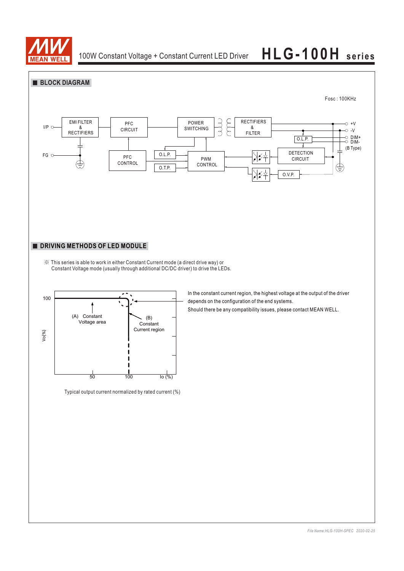

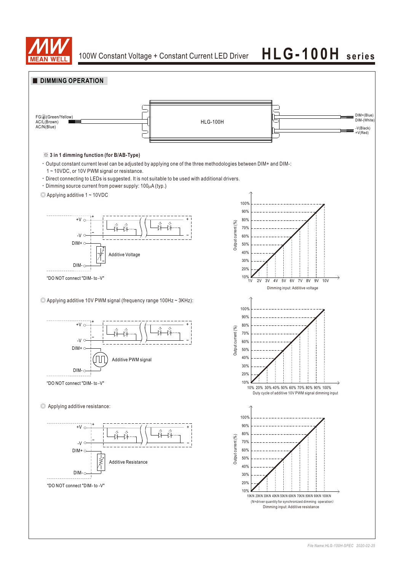

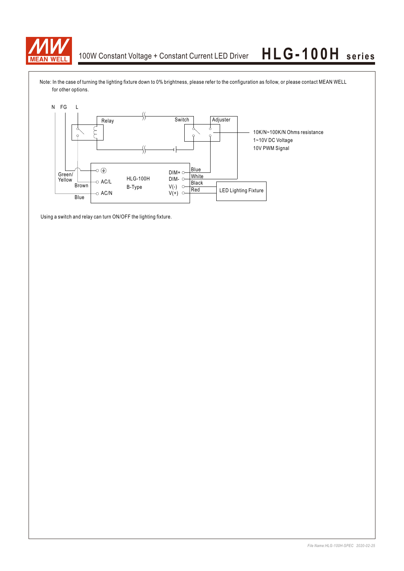

Note: In the case of turning the lighting fixture down to 0% brightness, please refer to the configuration as follow, or please contact MEAN WELL for other options.



Using a switch and relay can turn ON/OFF the lighting fixture.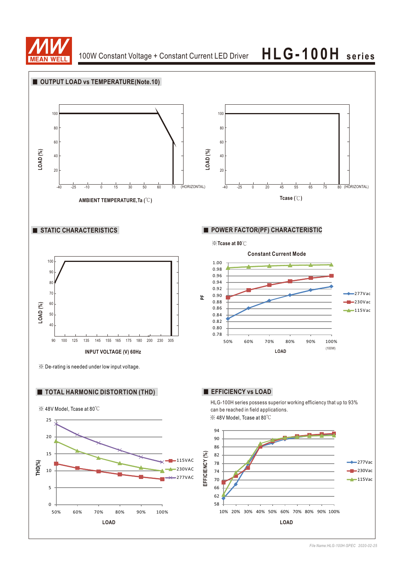

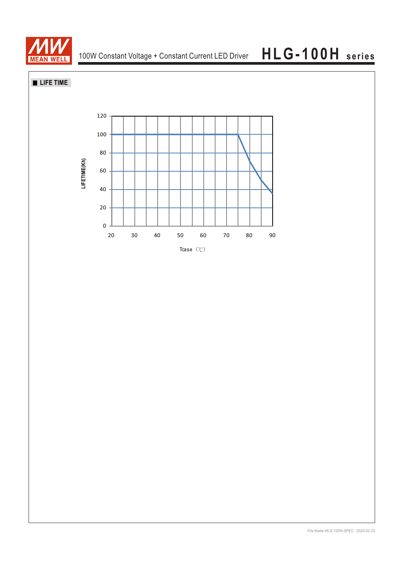

**LIFE TIME**

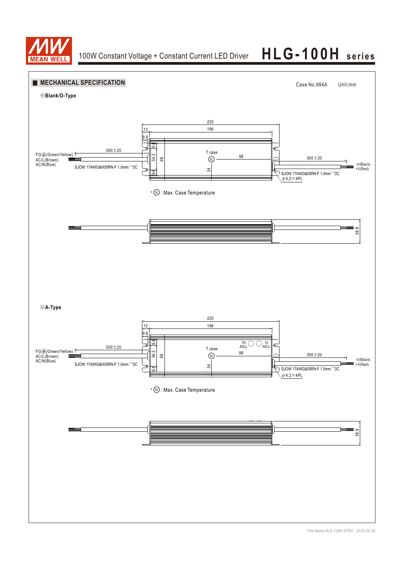

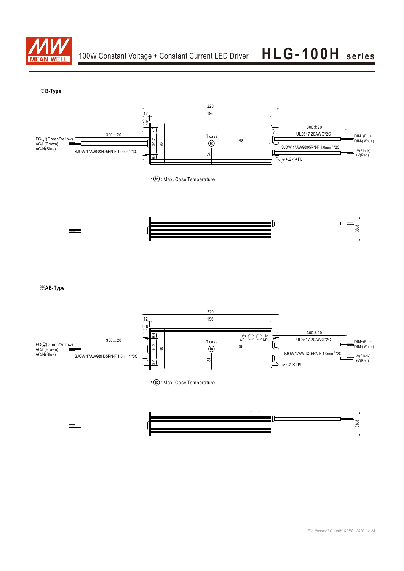